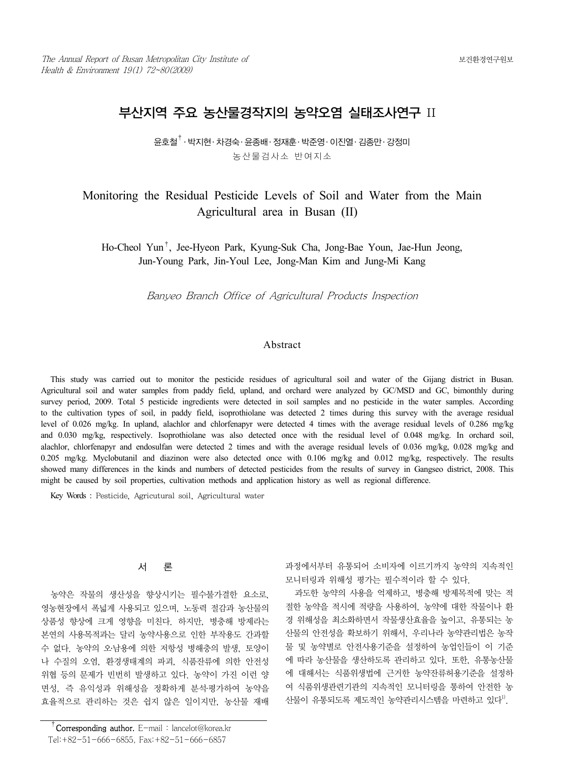# 부산지역 주요 농산물경작지의 농약오염 실태조사연구 II

윤호철† ․ 박지현․ 차경숙․ 윤종배․ 정재훈․ 박준영․ 이진열․ 김종만․ 강정미 농산물검사소 반여지소

## Monitoring the Residual Pesticide Levels of Soil and Water from the Main Agricultural area in Busan (II)

Ho-Cheol Yun†, Jee-Hyeon Park, Kyung-Suk Cha, Jong-Bae Youn, Jae-Hun Jeong, Jun-Young Park, Jin-Youl Lee, Jong-Man Kim and Jung-Mi Kang

Banyeo Branch Office of Agricultural Products Inspection

### Abstract

This study was carried out to monitor the pesticide residues of agricultural soil and water of the Gijang district in Busan. Agricultural soil and water samples from paddy field, upland, and orchard were analyzed by GC/MSD and GC, bimonthly during survey period, 2009. Total 5 pesticide ingredients were detected in soil samples and no pesticide in the water samples. According to the cultivation types of soil, in paddy field, isoprothiolane was detected 2 times during this survey with the average residual level of 0.026 mg/kg. In upland, alachlor and chlorfenapyr were detected 4 times with the average residual levels of 0.286 mg/kg and 0.030 mg/kg, respectively. Isoprothiolane was also detected once with the residual level of 0.048 mg/kg. In orchard soil, alachlor, chlorfenapyr and endosulfan were detected 2 times and with the average residual levels of 0.036 mg/kg, 0.028 mg/kg and 0.205 mg/kg. Myclobutanil and diazinon were also detected once with 0.106 mg/kg and 0.012 mg/kg, respectively. The results showed many differences in the kinds and numbers of detected pesticides from the results of survey in Gangseo district, 2008. This might be caused by soil properties, cultivation methods and application history as well as regional difference.

Key Words : Pesticide, Agricutural soil, Agricultural water

## 서 론

농약은 작물의 생산성을 향상시키는 필수불가결한 요소로, 영농현장에서 폭넓게 사용되고 있으며, 노동력 절감과 농산물의 상품성 향상에 크게 영향을 미친다. 하지만, 병충해 방제라는 본연의 사용목적과는 달리 농약사용으로 인한 부작용도 간과할 수 없다. 농약의 오․남용에 의한 저항성 병해충의 발생, 토양이 나 수질의 오염, 환경생태계의 파괴, 식품잔류에 의한 안전성 위협 등의 문제가 빈번히 발생하고 있다. 농약이 가진 이런 양 면성, 즉 유익성과 위해성을 정확하게 분석․평가하여 농약을 효율적으로 관리하는 것은 쉽지 않은 일이지만, 농산물 재배

 $\overline{C}$ Corresponding author. E-mail : lancelot@korea.kr Tel:+82-51-666-6855, Fax:+82-51-666-6857

과정에서부터 유통되어 소비자에 이르기까지 농약의 지속적인 모니터링과 위해성 평가는 필수적이라 할 수 있다.

과도한 농약의 사용을 억제하고, 병충해 방제목적에 맞는 적 절한 농약을 적시에 적량을 사용하여, 농약에 대한 작물이나 환 경 위해성을 최소화하면서 작물생산효율을 높이고, 유통되는 농 산물의 안전성을 확보하기 위해서, 우리나라 농약관리법은 농작 물 및 농약별로 안전사용기준을 설정하여 농업인들이 이 기준 에 따라 농산물을 생산하도록 관리하고 있다. 또한, 유통농산물 에 대해서는 식품위생법에 근거한 농약잔류허용기준을 설정하 여 식품위생관련기관의 지속적인 모니터링을 통하여 안전한 농 산물이 유통되도록 제도적인 농약관리시스템을 마련하고 있다<sup>1)</sup>.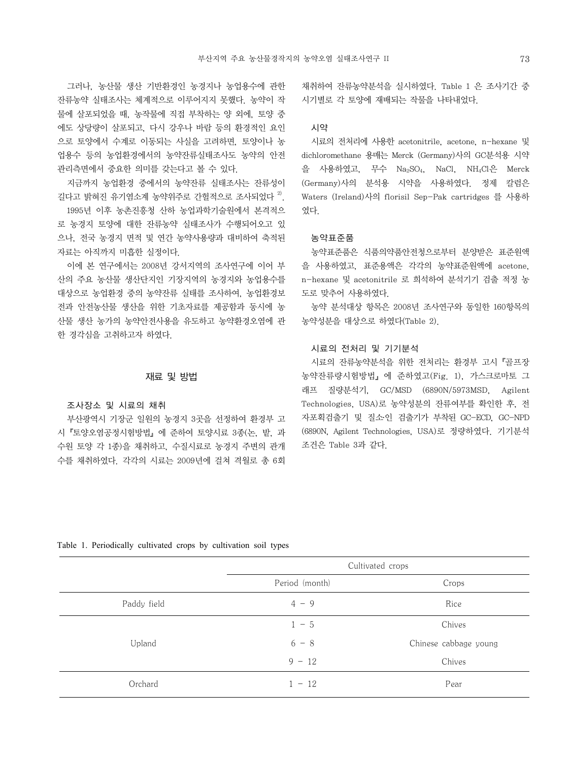그러나, 농산물 생산 기반환경인 농경지나 농업용수에 관한 잔류농약 실태조사는 체계적으로 이루어지지 못했다. 농약이 작 물에 살포되었을 때, 농작물에 직접 부착하는 양 외에, 토양 중 에도 상당량이 살포되고, 다시 강우나 바람 등의 환경적인 요인 으로 토양에서 수계로 이동되는 사실을 고려하면, 토양이나 농 업용수 등의 농업환경에서의 농약잔류실태조사도 농약의 안전 관리측면에서 중요한 의미를 갖는다고 볼 수 있다.

지금까지 농업환경 중에서의 농약잔류 실태조사는 잔류성이 길다고 밝혀진 유기염소계 농약위주로 간헐적으로 조사되었다<sup>2)</sup>.

1995년 이후 농촌진흥청 산하 농업과학기술원에서 본격적으 로 농경지 토양에 대한 잔류농약 실태조사가 수행되어오고 있 으나, 전국 농경지 면적 및 연간 농약사용량과 대비하여 축적된 자료는 아직까지 미흡한 실정이다.

이에 본 연구에서는 2008년 강서지역의 조사연구에 이어 부 산의 주요 농산물 생산단지인 기장지역의 농경지와 농업용수를 대상으로 농업환경 중의 농약잔류 실태를 조사하여, 농업환경보 전과 안전농산물 생산을 위한 기초자료를 제공함과 동시에 농 산물 생산 농가의 농약안전사용을 유도하고 농약환경오염에 관 한 경각심을 고취하고자 하였다.

#### 재료 및 방법

#### 조사장소 및 시료의 채취

부산광역시 기장군 일원의 농경지 3곳을 선정하여 환경부 고 시『토양오염공정시험방법』에 준하여 토양시료 3종(논, 밭, 과 수원 토양 각 1종)을 채취하고, 수질시료로 농경지 주변의 관개 수를 채취하였다. 각각의 시료는 2009년에 걸쳐 격월로 총 6회

채취하여 잔류농약분석을 실시하였다. Table 1 은 조사기간 중 시기별로 각 토양에 재배되는 작물을 나타내었다.

## 시약

시료의 전처리에 사용한 acetonitrile, acetone, n-hexane 및 dichloromethane 용매는 Merck (Germany)사의 GC분석용 시약 을 사용하였고, 무수 Na2SO4, NaCl, NH4Cl은 Merck (Germany)사의 분석용 시약을 사용하였다. 정제 칼럼은 Waters (Ireland)사의 florisil Sep-Pak cartridges 를 사용하 였다.

#### 농약표준품

농약표준품은 식품의약품안전청으로부터 분양받은 표준원액 을 사용하였고, 표준용액은 각각의 농약표준원액에 acetone, n-hexane 및 acetonitrile 로 희석하여 분석기기 검출 적정 농 도로 맞추어 사용하였다.

농약 분석대상 항목은 2008년 조사연구와 동일한 160항목의 농약성분을 대상으로 하였다(Table 2).

#### 시료의 전처리 및 기기분석

시료의 잔류농약분석을 위한 전처리는 환경부 고시『골프장 농약잔류량시험방법』에 준하였고(Fig. 1), 가스크로마토 그 래프 질량분석기, GC/MSD (6890N/5973MSD, Agilent Technologies, USA)로 농약성분의 잔류여부를 확인한 후, 전 자포획검출기 및 질소․인 검출기가 부착된 GC-ECD, GC-NPD (6890N, Agilent Technologies, USA)로 정량하였다. 기기분석 조건은 Table 3과 같다.

Table 1. Periodically cultivated crops by cultivation soil types

|             | Cultivated crops |                       |  |  |
|-------------|------------------|-----------------------|--|--|
|             | Period (month)   | Crops                 |  |  |
| Paddy field | $4 - 9$          | Rice                  |  |  |
|             | $1 - 5$          | Chives                |  |  |
| Upland      | $6 - 8$          | Chinese cabbage young |  |  |
|             | $9 - 12$         | Chives                |  |  |
| Orchard     | $1 - 12$         | Pear                  |  |  |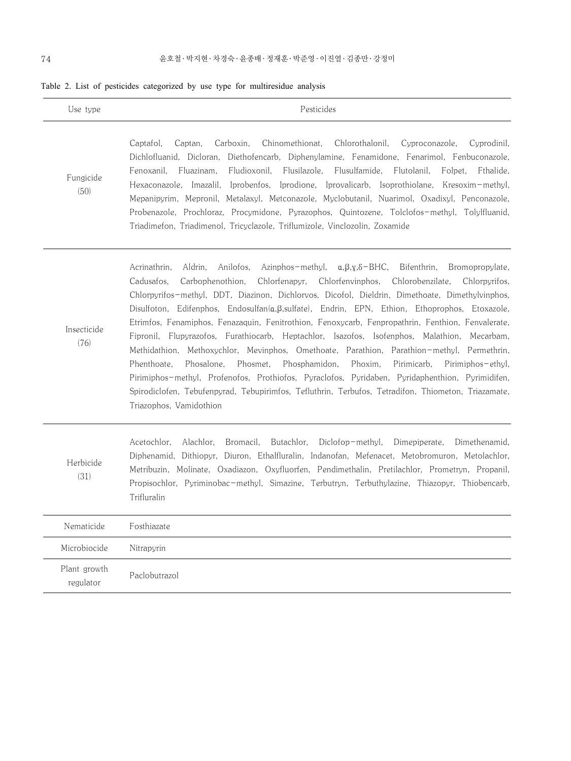|  |  |  |  |  |  |  |  |  | Table 2. List of pesticides categorized by use type for multiresidue analysis |  |
|--|--|--|--|--|--|--|--|--|-------------------------------------------------------------------------------|--|
|--|--|--|--|--|--|--|--|--|-------------------------------------------------------------------------------|--|

| Use type                  | Pesticides                                                                                                                                                                                                                                                                                                                                                                                                                                                                                                                                                                                                                                                                                                                                                                                                                                                                                                                                                                                                                                                                                              |
|---------------------------|---------------------------------------------------------------------------------------------------------------------------------------------------------------------------------------------------------------------------------------------------------------------------------------------------------------------------------------------------------------------------------------------------------------------------------------------------------------------------------------------------------------------------------------------------------------------------------------------------------------------------------------------------------------------------------------------------------------------------------------------------------------------------------------------------------------------------------------------------------------------------------------------------------------------------------------------------------------------------------------------------------------------------------------------------------------------------------------------------------|
| Fungicide<br>(50)         | Chinomethionat,<br>Chlorothalonil,<br>Captafol,<br>Captan,<br>Carboxin,<br>Cyproconazole,<br>Cyprodinil,<br>Dichlofluanid, Dicloran, Diethofencarb, Diphenylamine, Fenamidone, Fenarimol, Fenbuconazole,<br>Fluazinam,<br>Fludioxonil,<br>Flusilazole,<br>Flusulfamide,<br>Fenoxanil,<br>Flutolanil,<br>Folpet,<br>Fthalide,<br>Imazalil,<br>Iprobenfos, Iprodione, Iprovalicarb, Isoprothiolane, Kresoxim-methyl,<br>Hexaconazole,<br>Mepanipyrim, Mepronil, Metalaxyl, Metconazole, Myclobutanil, Nuarimol, Oxadixyl, Penconazole,<br>Probenazole, Prochloraz, Procymidone, Pyrazophos, Quintozene, Tolclofos-methyl, Tolylfluanid,<br>Triadimefon, Triadimenol, Tricyclazole, Triflumizole, Vinclozolin, Zoxamide                                                                                                                                                                                                                                                                                                                                                                                    |
| Insecticide<br>(76)       | Aldrin,<br>Azinphos-methyl, $\alpha, \beta, \gamma, \delta-\text{BHC}$ ,<br>Bifenthrin,<br>Acrinathrin,<br>Anilofos,<br>Bromopropylate,<br>Carbophenothion,<br>Chlorfenapyr,<br>Chlorfenvinphos,<br>Chlorobenzilate,<br>Cadusafos,<br>Chlorpyrifos,<br>Chlorpyrifos-methyl, DDT, Diazinon, Dichlorvos, Dicofol, Dieldrin, Dimethoate, Dimethylvinphos,<br>Disulfoton, Edifenphos, Endosulfan(a, B, sulfate), Endrin, EPN, Ethion, Ethoprophos, Etoxazole,<br>Etrimfos, Fenamiphos, Fenazaquin, Fenitrothion, Fenoxycarb, Fenpropathrin, Fenthion, Fenvalerate,<br>Fipronil, Flupyrazofos, Furathiocarb, Heptachlor, Isazofos, Isofenphos, Malathion, Mecarbam,<br>Methidathion, Methoxychlor, Mevinphos, Omethoate, Parathion, Parathion-methyl, Permethrin,<br>Phosalone,<br>Phosphamidon,<br>Phoxim,<br>Phenthoate,<br>Phosmet,<br>Pirimicarb, Pirimiphos-ethyl,<br>Pirimiphos-methyl, Profenofos, Prothiofos, Pyraclofos, Pyridaben, Pyridaphenthion, Pyrimidifen,<br>Spirodiclofen, Tebufenpyrad, Tebupirimfos, Tefluthrin, Terbufos, Tetradifon, Thiometon, Triazamate,<br>Triazophos, Vamidothion |
| Herbicide<br>(31)         | Acetochlor,<br>Alachlor,<br>Butachlor,<br>Bromacil,<br>Diclofop-methyl,<br>Dimepiperate,<br>Dimethenamid,<br>Diphenamid, Dithiopyr, Diuron, Ethalfluralin, Indanofan, Mefenacet, Metobromuron, Metolachlor,<br>Metribuzin, Molinate, Oxadiazon, Oxyfluorfen, Pendimethalin, Pretilachlor, Prometryn, Propanil,<br>Propisochlor, Pyriminobac-methyl, Simazine, Terbutryn, Terbuthylazine, Thiazopyr, Thiobencarb,<br>Trifluralin                                                                                                                                                                                                                                                                                                                                                                                                                                                                                                                                                                                                                                                                         |
| Nematicide                | Fosthiazate                                                                                                                                                                                                                                                                                                                                                                                                                                                                                                                                                                                                                                                                                                                                                                                                                                                                                                                                                                                                                                                                                             |
| Microbiocide              | Nitrapyrin                                                                                                                                                                                                                                                                                                                                                                                                                                                                                                                                                                                                                                                                                                                                                                                                                                                                                                                                                                                                                                                                                              |
| Plant growth<br>regulator | Paclobutrazol                                                                                                                                                                                                                                                                                                                                                                                                                                                                                                                                                                                                                                                                                                                                                                                                                                                                                                                                                                                                                                                                                           |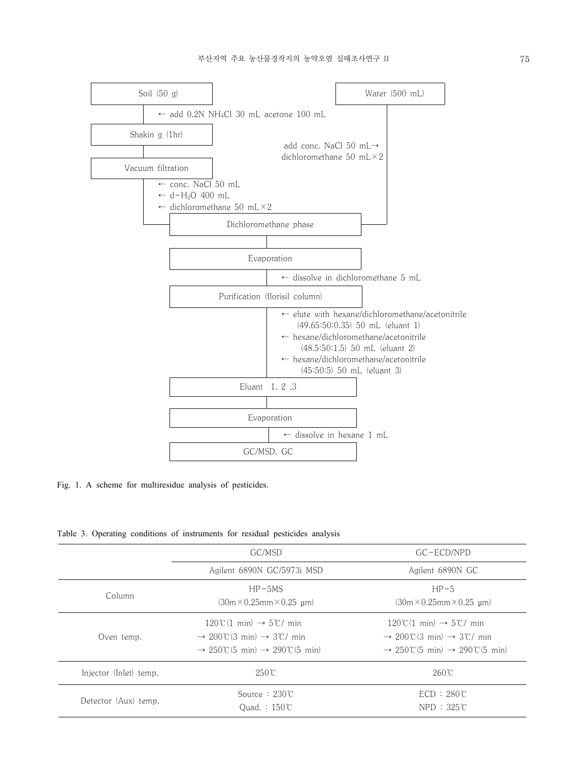

Fig. 1. A scheme for multiresidue analysis of pesticides.

|  |  |  |  | Table 3. Operating conditions of instruments for residual pesticides analysis |  |  |  |  |
|--|--|--|--|-------------------------------------------------------------------------------|--|--|--|--|
|--|--|--|--|-------------------------------------------------------------------------------|--|--|--|--|

|                        | GC/MSD                                                                                                                                                           | GC-ECD/NPD                                                                                                                                                       |  |
|------------------------|------------------------------------------------------------------------------------------------------------------------------------------------------------------|------------------------------------------------------------------------------------------------------------------------------------------------------------------|--|
|                        | Agilent 6890N GC/5973i MSD                                                                                                                                       | Agilent 6890N GC                                                                                                                                                 |  |
| Column                 | $HP-5MS$<br>$(30m \times 0.25mm \times 0.25mm)$                                                                                                                  | $HP-5$<br>$(30m \times 0.25mm \times 0.25mm)$                                                                                                                    |  |
| Oven temp.             | $120\degree$ (1 min) $\rightarrow$ 5 $\degree$ min<br>$\rightarrow$ 200°C(3 min) $\rightarrow$ 3°C/ min<br>$\rightarrow$ 250°C(5 min) $\rightarrow$ 290°C(5 min) | $120\degree$ (1 min) $\rightarrow$ 5 $\degree$ min<br>$\rightarrow$ 200°C(3 min) $\rightarrow$ 3°C/ min<br>$\rightarrow$ 250°C(5 min) $\rightarrow$ 290°C(5 min) |  |
| Injector (Inlet) temp. | $250^{\circ}$ C                                                                                                                                                  | $260^{\circ}$ C                                                                                                                                                  |  |
| Detector (Aux) temp.   | Source: $230^\circ$<br>Ouad. $: 150^{\circ}$                                                                                                                     | $ECD : 280^{\circ}C$<br>$NPD: 325^{\circ}C$                                                                                                                      |  |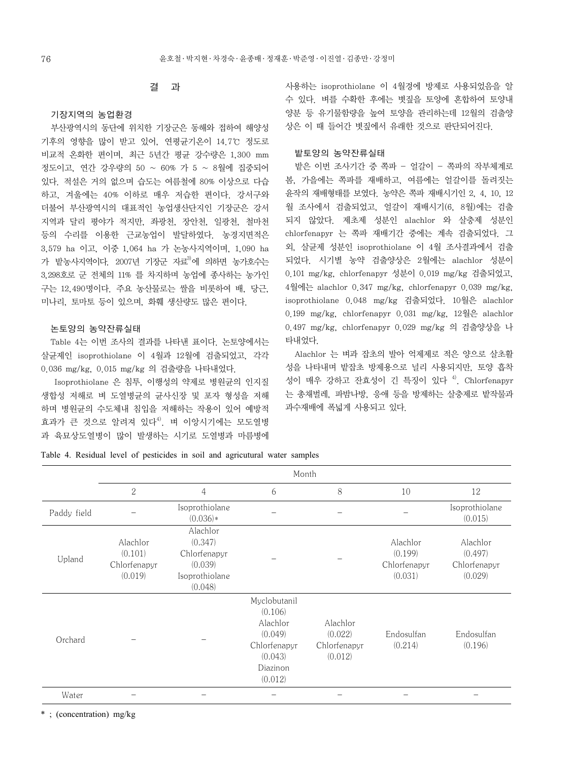### 결 과

#### 기장지역의 농업환경

부산광역시의 동단에 위치한 기장군은 동해와 접하여 해양성 기후의 영향을 많이 받고 있어, 연평균기온이 14.7℃ 정도로 비교적 온화한 편이며, 최근 5년간 평균 강수량은 1,300 mm 정도이고, 연간 강우량의 50 ~ 60% 가 5 ~ 8월에 집중되어 있다. 적설은 거의 없으며 습도는 여름철에 80% 이상으로 다습 하고, 겨울에는 40% 이하로 매우 저습한 편이다. 강서구와 더불어 부산광역시의 대표적인 농업생산단지인 기장군은 강서 지역과 달리 평야가 적지만, 좌광천, 장안천, 일광천, 철마천 등의 수리를 이용한 근교농업이 발달하였다. 농경지면적은 3,579 ha 이고, 이중 1,064 ha 가 논농사지역이며, 1,090 ha 가 밭농사지역이다. 2007년 기장군 자료3)에 의하면 농가호수는 3,298호로 군 전체의 11% 를 차지하며 농업에 종사하는 농가인 구는 12,490명이다. 주요 농산물로는 쌀을 비롯하여 배, 당근, 미나리, 토마토 등이 있으며, 화훼 생산량도 많은 편이다.

### 논토양의 농약잔류실태

Table 4는 이번 조사의 결과를 나타낸 표이다. 논토양에서는 살균제인 isoprothiolane 이 4월과 12월에 검출되었고, 각각 0.036 mg/kg, 0.015 mg/kg 의 검출량을 나타내었다.

 Isoprothiolane 은 침투, 이행성의 약제로 병원균의 인지질 생합성 저해로 벼 도열병균의 균사신장 및 포자 형성을 저해 하며 병원균의 수도체내 침입을 저해하는 작용이 있어 예방적 효과가 큰 것으로 알려져 있다<sup>4)</sup>. 벼 이앙시기에는 모도열병 과 육묘상도열병이 많이 발생하는 시기로 도열병과 마름병에 사용하는 isoprothiolane 이 4월경에 방제로 사용되었음을 알 수 있다. 벼를 수확한 후에는 볏짚을 토양에 혼합하여 토양내 양분 등 유기물함량을 높여 토양을 관리하는데 12월의 검출양 상은 이 때 들어간 볏짚에서 유래한 것으로 판단되어진다.

## 밭토양의 농약잔류실태

밭은 이번 조사기간 중 쪽파 - 얼갈이 - 쪽파의 작부체계로 봄, 가을에는 쪽파를 재배하고, 여름에는 얼갈이를 돌려짓는 윤작의 재배형태를 보였다. 농약은 쪽파 재배시기인 2, 4, 10, 12 월 조사에서 검출되었고, 얼갈이 재배시기(6, 8월)에는 검출 되지 않았다. 제초제 성분인 alachlor 와 살충제 성분인 chlorfenapyr 는 쪽파 재배기간 중에는 계속 검출되었다. 그 외, 살균제 성분인 isoprothiolane 이 4월 조사결과에서 검출 되었다. 시기별 농약 검출양상은 2월에는 alachlor 성분이 0.101 mg/kg, chlorfenapyr 성분이 0.019 mg/kg 검출되었고, 4월에는 alachlor 0.347 mg/kg, chlorfenapyr 0.039 mg/kg, isoprothiolane 0.048 mg/kg 검출되었다. 10월은 alachlor 0.199 mg/kg, chlorfenapyr 0.031 mg/kg, 12월은 alachlor 0.497 mg/kg, chlorfenapyr 0.029 mg/kg 의 검출양상을 나 타내었다.

Alachlor 는 벼과 잡초의 발아 억제제로 적은 양으로 살초활 성을 나타내며 밭잡초 방제용으로 널리 사용되지만, 토양 흡착 성이 매우 강하고 잔효성이 긴 특징이 있다<sup>4)</sup>. Chlorfenapyr 는 총채벌레, 파밤나방, 응애 등을 방제하는 살충제로 밭작물과 과수재배에 폭넓게 사용되고 있다.

Table 4. Residual level of pesticides in soil and agricutural water samples

|             | Month                                          |                                                                             |                                                                                                  |                                                |                                                |                                                |  |  |
|-------------|------------------------------------------------|-----------------------------------------------------------------------------|--------------------------------------------------------------------------------------------------|------------------------------------------------|------------------------------------------------|------------------------------------------------|--|--|
|             | $\mathbf{2}$                                   | 4                                                                           | 6                                                                                                | 8                                              | 10                                             | 12                                             |  |  |
| Paddy field |                                                | Isoprothiolane<br>$(0.036)*$                                                |                                                                                                  |                                                |                                                | Isoprothiolane<br>(0.015)                      |  |  |
| Upland      | Alachlor<br>(0.101)<br>Chlorfenapyr<br>(0.019) | Alachlor<br>(0.347)<br>Chlorfenapyr<br>(0.039)<br>Isoprothiolane<br>(0.048) |                                                                                                  |                                                | Alachlor<br>(0.199)<br>Chlorfenapyr<br>(0.031) | Alachlor<br>(0.497)<br>Chlorfenapyr<br>(0.029) |  |  |
| Orchard     |                                                |                                                                             | Myclobutanil<br>(0.106)<br>Alachlor<br>(0.049)<br>Chlorfenapyr<br>(0.043)<br>Diazinon<br>(0.012) | Alachlor<br>(0.022)<br>Chlorfenapyr<br>(0.012) | Endosulfan<br>(0.214)                          | Endosulfan<br>(0.196)                          |  |  |
| Water       |                                                |                                                                             |                                                                                                  |                                                |                                                |                                                |  |  |

\* ; (concentration) mg/kg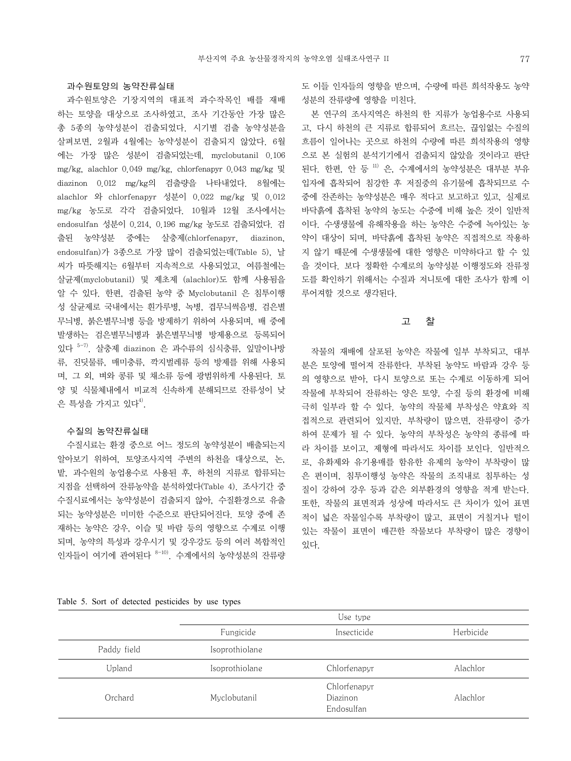#### 과수원토양의 농약잔류실태

과수원토양은 기장지역의 대표적 과수작목인 배를 재배 하는 토양을 대상으로 조사하였고, 조사 기간동안 가장 많은 총 5종의 농약성분이 검출되었다. 시기별 검출 농약성분을 살펴보면, 2월과 4월에는 농약성분이 검출되지 않았다. 6월 에는 가장 많은 성분이 검출되었는데, myclobutanil 0.106 mg/kg, alachlor 0.049 mg/kg, chlorfenapyr 0.043 mg/kg 및 diazinon 0.012 mg/kg의 검출량을 나타내었다. 8월에는 alachlor 와 chlorfenapyr 성분이 0.022 mg/kg 및 0.012 mg/kg 농도로 각각 검출되었다. 10월과 12월 조사에서는 endosulfan 성분이 0.214, 0.196 mg/kg 농도로 검출되었다. 검 출된 농약성분 중에는 살충제(chlorfenapyr, diazinon, endosulfan)가 3종으로 가장 많이 검출되었는데(Table 5), 날 씨가 따뜻해지는 6월부터 지속적으로 사용되었고, 여름철에는 살균제(myclobutanil) 및 제초제 (alachlor)도 함께 사용됨을 알 수 있다. 한편, 검출된 농약 중 Myclobutanil 은 침투이행 성 살균제로 국내에서는 흰가루병, 녹병, 겹무늬썩음병, 검은별 무늬병, 붉은별무늬병 등을 방제하기 위하여 사용되며, 배 중에 발생하는 검은별무늬병과 붉은별무늬병 방제용으로 등록되어 있다 5-7). 살충제 diazinon 은 과수류의 심식충류, 잎말이나방 류, 진딧물류, 매미충류, 깍지벌레류 등의 방제를 위해 사용되 며, 그 외, 벼와 콩류 및 채소류 등에 광범위하게 사용된다. 토 양 및 식물체내에서 비교적 신속하게 분해되므로 잔류성이 낮 은 특성을 가지고 있다 $4^9$ .

#### 수질의 농약잔류실태

수질시료는 환경 중으로 어느 정도의 농약성분이 배출되는지 알아보기 위하여, 토양조사지역 주변의 하천을 대상으로, 논, 밭, 과수원의 농업용수로 사용된 후, 하천의 지류로 합류되는 지점을 선택하여 잔류농약을 분석하였다(Table 4). 조사기간 중 수질시료에서는 농약성분이 검출되지 않아, 수질환경으로 유출 되는 농약성분은 미미한 수준으로 판단되어진다. 토양 중에 존 재하는 농약은 강우, 이슬 및 바람 등의 영향으로 수계로 이행 되며, 농약의 특성과 강우시기 및 강우강도 등의 여러 복합적인 인자들이 여기에 관여된다  $8-10$ ). 수계에서의 농약성분의 잔류량

도 이들 인자들의 영향을 받으며, 수량에 따른 희석작용도 농약 성분의 잔류량에 영향을 미친다.

본 연구의 조사지역은 하천의 한 지류가 농업용수로 사용되 고, 다시 하천의 큰 지류로 합류되어 흐르는, 끊임없는 수질의 흐름이 일어나는 곳으로 하천의 수량에 따른 희석작용의 영향 으로 본 실험의 분석기기에서 검출되지 않았을 것이라고 판단 된다. 한편, 안 등 11) 은, 수계에서의 농약성분은 대부분 부유 입자에 흡착되어 침강한 후 저질중의 유기물에 흡착되므로 수 중에 잔존하는 농약성분은 매우 적다고 보고하고 있고, 실제로 바닥흙에 흡착된 농약의 농도는 수중에 비해 높은 것이 일반적 이다. 수생생물에 유해작용을 하는 농약은 수중에 녹아있는 농 약이 대상이 되며, 바닥흙에 흡착된 농약은 직접적으로 작용하 지 않기 때문에 수생생물에 대한 영향은 미약하다고 할 수 있 을 것이다. 보다 정확한 수계로의 농약성분 이행정도와 잔류정 도를 확인하기 위해서는 수질과 저니토에 대한 조사가 함께 이 루어져할 것으로 생각된다.

#### 고 찰

작물의 재배에 살포된 농약은 작물에 일부 부착되고, 대부 분은 토양에 떨어져 잔류한다. 부착된 농약도 바람과 강우 등 의 영향으로 받아, 다시 토양으로 또는 수계로 이동하게 되어 작물에 부착되어 잔류하는 양은 토양, 수질 등의 환경에 비해 극히 일부라 할 수 있다. 농약의 작물체 부착성은 약효와 직 접적으로 관련되어 있지만, 부착량이 많으면, 잔류량이 증가 하여 문제가 될 수 있다. 농약의 부착성은 농약의 종류에 따 라 차이를 보이고, 제형에 따라서도 차이를 보인다. 일반적으 로, 유화제와 유기용매를 함유한 유제의 농약이 부착량이 많 은 편이며, 침투이행성 농약은 작물의 조직내로 침투하는 성 질이 강하여 강우 등과 같은 외부환경의 영향을 적게 받는다. 또한, 작물의 표면적과 성상에 따라서도 큰 차이가 있어 표면 적이 넓은 작물일수록 부착량이 많고, 표면이 거칠거나 털이 있는 작물이 표면이 매끈한 작물보다 부착량이 많은 경향이 있다.

Table 5. Sort of detected pesticides by use types

|             |                | Use type                               |           |
|-------------|----------------|----------------------------------------|-----------|
|             | Fungicide      | Insecticide                            | Herbicide |
| Paddy field | Isoprothiolane |                                        |           |
| Upland      | Isoprothiolane | Chlorfenapyr                           | Alachlor  |
| Orchard     | Myclobutanil   | Chlorfenapyr<br>Diazinon<br>Endosulfan | Alachlor  |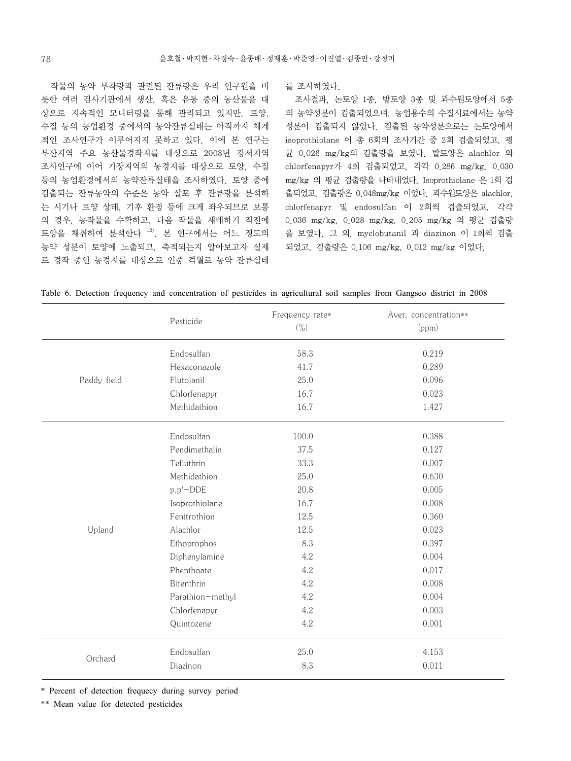작물의 농약 부착량과 관련된 잔류량은 우리 연구원을 비 롯한 여러 검사기관에서 생산, 혹은 유통 중의 농산물을 대 상으로 지속적인 모니터링을 통해 관리되고 있지만, 토양, 수질 등의 농업환경 중에서의 농약잔류실태는 아직까지 체계 적인 조사연구가 이루어지지 못하고 있다. 이에 본 연구는 부산지역 주요 농산물경작지를 대상으로 2008년 강서지역 조사연구에 이어 기장지역의 농경지를 대상으로 토양, 수질 등의 농업환경에서의 농약잔류실태을 조사하였다. 토양 중에 검출되는 잔류농약의 수준은 농약 살포 후 잔류량을 분석하 는 시기나 토양 상태, 기후 환경 등에 크게 좌우되므로 보통 의 경우, 농작물을 수확하고, 다음 작물을 재배하기 직전에 토양을 채취하여 분석한다 12). 본 연구에서는 어느 정도의 농약 성분이 토양에 노출되고, 축적되는지 알아보고자 실제 로 경작 중인 농경지를 대상으로 연중 격월로 농약 잔류실태

를 조사하였다.

조사결과, 논토양 1종, 밭토양 3종 및 과수원토양에서 5종 의 농약성분이 검출되었으며, 농업용수의 수질시료에서는 농약 성분이 검출되지 않았다. 검출된 농약성분으로는 논토양에서 isoprothiolane 이 총 6회의 조사기간 중 2회 검출되었고, 평 균 0.026 mg/kg의 검출량을 보였다. 밭토양은 alachlor 와 chlorfenapyr가 4회 검출되었고, 각각 0.286 mg/kg, 0.030 mg/kg 의 평균 검출량을 나타내었다. Isoprothiolane 은 1회 검 출되었고, 검출량은 0.048mg/kg 이었다. 과수원토양은 alachlor, chlorfenapyr 및 endosulfan 이 2회씩 검출되었고, 각각 0.036 mg/kg, 0.028 mg/kg, 0.205 mg/kg 의 평균 검출량 을 보였다. 그 외, myclobutanil 과 diazinon 이 1회씩 검출 되었고, 검출량은 0.106 mg/kg, 0.012 mg/kg 이었다.

| Table 6. Detection frequency and concentration of pesticides in agricultural soil samples from Gangseo district in 2008 |  |  |  |  |  |  |  |
|-------------------------------------------------------------------------------------------------------------------------|--|--|--|--|--|--|--|
|-------------------------------------------------------------------------------------------------------------------------|--|--|--|--|--|--|--|

|             | Pesticide        | Frequency rate*<br>$(\% )$ | Aver. concentration**<br>(ppm) |
|-------------|------------------|----------------------------|--------------------------------|
|             | Endosulfan       | 58.3                       | 0.219                          |
|             | Hexaconazole     | 41.7                       | 0.289                          |
| Paddy field | Flutolanil       | 25.0                       | 0.096                          |
|             | Chlorfenapyr     | 16.7                       | 0.023                          |
|             | Methidathion     | 16.7                       | 1.427                          |
|             | Endosulfan       | 100.0                      | 0.388                          |
|             | Pendimethalin    | 37.5                       | 0.127                          |
|             | Tefluthrin       | 33.3                       | 0.007                          |
|             | Methidathion     | 25.0                       | 0.630                          |
|             | $p, p'$ -DDE     | 20.8                       | 0.005                          |
|             | Isoprothiolane   | 16.7                       | 0.008                          |
|             | Fenitrothion     | 12.5                       | 0.360                          |
| Upland      | Alachlor         | 12.5                       | 0.023                          |
|             | Ethoprophos      | 8.3                        | 0.397                          |
|             | Diphenylamine    | 4.2                        | 0.004                          |
|             | Phenthoate       | 4.2                        | 0.017                          |
|             | Bifenthrin       | 4.2                        | 0.008                          |
|             | Parathion-methyl | 4.2                        | 0.004                          |
|             | Chlorfenapyr     | 4.2                        | 0.003                          |
|             | Quintozene       | 4.2                        | 0.001                          |
|             | Endosulfan       | 25.0                       | 4.153                          |
| Orchard     | Diazinon         | 8.3                        | 0.011                          |

\* Percent of detection frequecy during survey period

\*\* Mean value for detected pesticides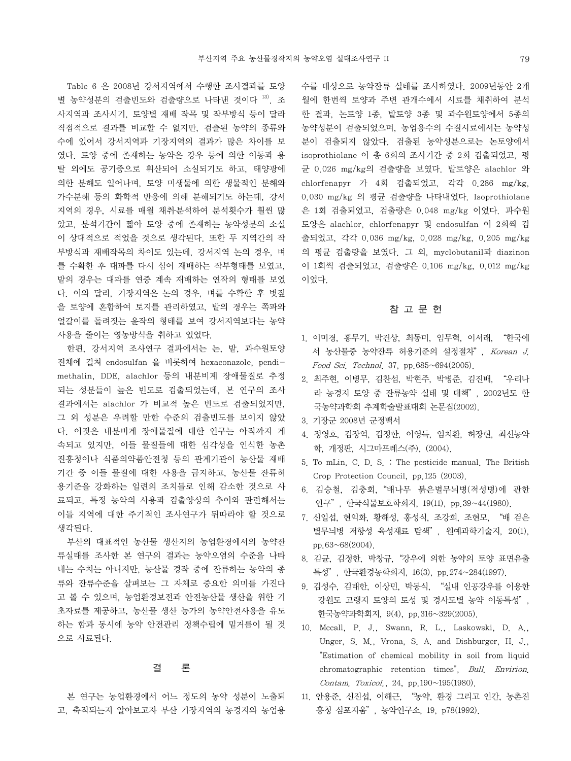Table 6 은 2008년 강서지역에서 수행한 조사결과를 토양 별 농약성분의 검출빈도와 검출량으로 나타낸 것이다 13). 조 사지역과 조사시기, 토양별 재배 작목 및 작부방식 등이 달라 직접적으로 결과를 비교할 수 없지만, 검출된 농약의 종류와 수에 있어서 강서지역과 기장지역의 결과가 많은 차이를 보 였다. 토양 중에 존재하는 농약은 강우 등에 의한 이동과 용 탈 외에도 공기중으로 휘산되어 소실되기도 하고, 태양광에 의한 분해도 일어나며, 토양 미생물에 의한 생물적인 분해와 가수분해 등의 화학적 반응에 의해 분해되기도 하는데, 강서 지역의 경우, 시료를 매월 채취․분석하여 분석횟수가 훨씬 많 았고, 분석기간이 짧아 토양 중에 존재하는 농약성분의 소실 이 상대적으로 적었을 것으로 생각된다. 또한 두 지역간의 작 부방식과 재배작목의 차이도 있는데, 강서지역 논의 경우, 벼 를 수확한 후 대파를 다시 심어 재배하는 작부형태를 보였고, 밭의 경우는 대파를 연중 계속 재배하는 연작의 형태를 보였 다. 이와 달리, 기장지역은 논의 경우, 벼를 수확한 후 볏짚 을 토양에 혼합하여 토지를 관리하였고, 밭의 경우는 쪽파와 얼갈이를 돌려짓는 윤작의 형태를 보여 강서지역보다는 농약 사용을 줄이는 영농방식을 취하고 있었다.

한편, 강서지역 조사연구 결과에서는 논, 밭, 과수원토양 전체에 걸쳐 endosulfan 을 비롯하여 hexaconazole, pendimethalin, DDE, alachlor 등의 내분비계 장애물질로 추정 되는 성분들이 높은 빈도로 검출되었는데, 본 연구의 조사 결과에서는 alachlor 가 비교적 높은 빈도로 검출되었지만, 그 외 성분은 우려할 만한 수준의 검출빈도를 보이지 않았 다. 이것은 내분비계 장애물질에 대한 연구는 아직까지 계 속되고 있지만, 이들 물질들에 대한 심각성을 인식한 농촌 진흥청이나 식품의약품안전청 등의 관계기관이 농산물 재배 기간 중 이들 물질에 대한 사용을 금지하고, 농산물 잔류허 용기준을 강화하는 일련의 조치들로 인해 감소한 것으로 사 료되고, 특정 농약의 사용과 검출양상의 추이와 관련해서는 이들 지역에 대한 주기적인 조사연구가 뒤따라야 할 것으로 생각된다.

부산의 대표적인 농산물 생산지의 농업환경에서의 농약잔 류실태를 조사한 본 연구의 결과는 농약오염의 수준을 나타 내는 수치는 아니지만, 농산물 경작 중에 잔류하는 농약의 종 류와 잔류수준을 살펴보는 그 자체로 중요한 의미를 가진다 고 볼 수 있으며, 농업환경보전과 안전농산물 생산을 위한 기 초자료를 제공하고, 농산물 생산 농가의 농약안전사용을 유도 하는 함과 동시에 농약 안전관리 정책수립에 밑거름이 될 것 으로 사료된다.

## 결 론

본 연구는 농업환경에서 어느 정도의 농약 성분이 노출되 고, 축적되는지 알아보고자 부산 기장지역의 농경지와 농업용

수를 대상으로 농약잔류 실태를 조사하였다. 2009년동안 2개 월에 한번씩 토양과 주변 관개수에서 시료를 채취하여 분석 한 결과, 논토양 1종, 밭토양 3종 및 과수원토양에서 5종의 농약성분이 검출되었으며, 농업용수의 수질시료에서는 농약성 분이 검출되지 않았다. 검출된 농약성분으로는 논토양에서 isoprothiolane 이 총 6회의 조사기간 중 2회 검출되었고, 평 균 0.026 mg/kg의 검출량을 보였다. 밭토양은 alachlor 와 chlorfenapyr 가 4회 검출되었고, 각각 0.286 mg/kg, 0.030 mg/kg 의 평균 검출량을 나타내었다. Isoprothiolane 은 1회 검출되었고, 검출량은 0.048 mg/kg 이었다. 과수원 토양은 alachlor, chlorfenapyr 및 endosulfan 이 2회씩 검 출되었고, 각각 0.036 mg/kg, 0.028 mg/kg, 0.205 mg/kg 의 평균 검출량을 보였다. 그 외, myclobutanil과 diazinon 이 1회씩 검출되었고, 검출량은 0.106 mg/kg, 0.012 mg/kg 이었다.

#### 참 고 문 헌

- 1. 이미경, 홍무기, 박건상, 최동미, 임무혁, 이서래, "한국에 서 농산물중 농약잔류 허용기준의 설정절차", Korean J. Food Sci. Technol. 37, pp.685~694(2005).
- 2. 최주현, 이병무, 김찬섭, 박현주, 박병준, 김진배, "우리나 라 농경지 토양 중 잔류농약 실태 및 대책", 2002년도 한 국농약과학회 추계학술발표대회 논문집(2002).
- 3. 기장군 2008년 군정백서
- 4. 정영호, 김장억, 김정한, 이영득, 임치환, 허장현, 최신농약 학, 개정판, 시그마프레스(주), (2004).
- 5. To mLin, C. D. S. : The pesticide manual. The British Crop Protection Council, pp.125 (2003).
- 6. 김승철, 김충회,"배나무 붉은별무늬병(적성병)에 관한 연구", 한국식물보호학회지, 19(11), pp.39~44(1980).
- 7. 신일섭, 현익화, 황해성, 홍성식, 조강희, 조현모, "배 검은 별무늬병 저항성 육성재료 탐색", 원예과학기술지, 20(1), pp.63~68(2004).
- 8. 김균, 김정한, 박창규,"강우에 의한 농약의 토양 표면유출 특성", 한국환경농학회지, 16(3), pp.274~284(1997).
- 9. 김성수, 김태한, 이상민, 박동식, "실내 인공강우를 이용한 강원도 고랭지 토양의 토성 및 경사도별 농약 이동특성", 한국농약과학회지, 9(4), pp.316~329(2005).
- 10. Mccall, P. J., Swann, R. L., Laskowski, D. A., Unger, S. M., Vrona, S. A. and Dishburger, H. J., "Estimation of chemical mobility in soil from liquid chromatographic retention times", Bull. Envirion. Contam. Toxicol., 24, pp.190~195(1980).
- 11. 안용준, 신진섭, 이해근, "농약, 환경 그리고 인간, 농촌진 흥청 심포지움", 농약연구소, 19, p78(1992).